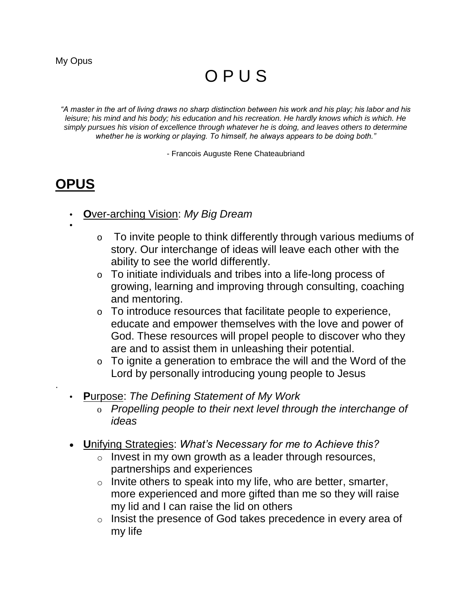# O P U S

*"A master in the art of living draws no sharp distinction between his work and his play; his labor and his leisure; his mind and his body; his education and his recreation. He hardly knows which is which. He simply pursues his vision of excellence through whatever he is doing, and leaves others to determine whether he is working or playing. To himself, he always appears to be doing both."*

- Francois Auguste Rene Chateaubriand

# **OPUS**

- **O**ver-arching Vision: *My Big Dream*
- •

.

- o To invite people to think differently through various mediums of story. Our interchange of ideas will leave each other with the ability to see the world differently.
- o To initiate individuals and tribes into a life-long process of growing, learning and improving through consulting, coaching and mentoring.
- o To introduce resources that facilitate people to experience, educate and empower themselves with the love and power of God. These resources will propel people to discover who they are and to assist them in unleashing their potential.
- o To ignite a generation to embrace the will and the Word of the Lord by personally introducing young people to Jesus
- **P**urpose: *The Defining Statement of My Work*
	- o *Propelling people to their next level through the interchange of ideas*
- **U**nifying Strategies: *What's Necessary for me to Achieve this?*
	- $\circ$  Invest in my own growth as a leader through resources, partnerships and experiences
	- $\circ$  Invite others to speak into my life, who are better, smarter, more experienced and more gifted than me so they will raise my lid and I can raise the lid on others
	- o Insist the presence of God takes precedence in every area of my life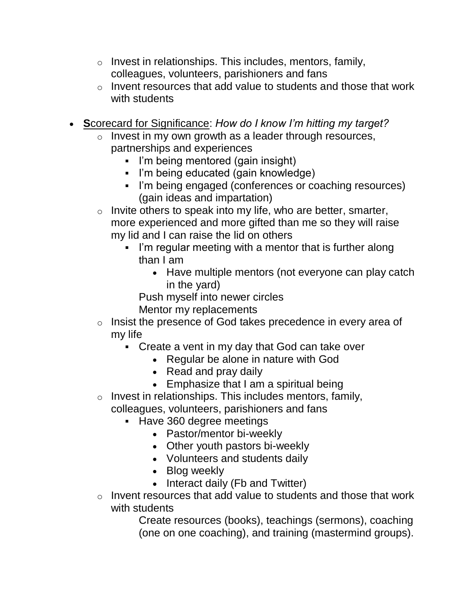- $\circ$  Invest in relationships. This includes, mentors, family, colleagues, volunteers, parishioners and fans
- $\circ$  Invent resources that add value to students and those that work with students
- **S**corecard for Significance: *How do I know I'm hitting my target?*
	- $\circ$  Invest in my own growth as a leader through resources, partnerships and experiences
		- I'm being mentored (gain insight)
		- I'm being educated (gain knowledge)
		- I'm being engaged (conferences or coaching resources) (gain ideas and impartation)
	- $\circ$  Invite others to speak into my life, who are better, smarter, more experienced and more gifted than me so they will raise my lid and I can raise the lid on others
		- I'm regular meeting with a mentor that is further along than I am
			- Have multiple mentors (not everyone can play catch in the yard)

Push myself into newer circles

Mentor my replacements

- o Insist the presence of God takes precedence in every area of my life
	- Create a vent in my day that God can take over
		- Regular be alone in nature with God
		- Read and pray daily
		- Emphasize that I am a spiritual being
- o Invest in relationships. This includes mentors, family, colleagues, volunteers, parishioners and fans
	- **Have 360 degree meetings** 
		- Pastor/mentor bi-weekly
		- Other youth pastors bi-weekly
		- Volunteers and students daily
		- Blog weekly
		- Interact daily (Fb and Twitter)
- o Invent resources that add value to students and those that work with students

Create resources (books), teachings (sermons), coaching (one on one coaching), and training (mastermind groups).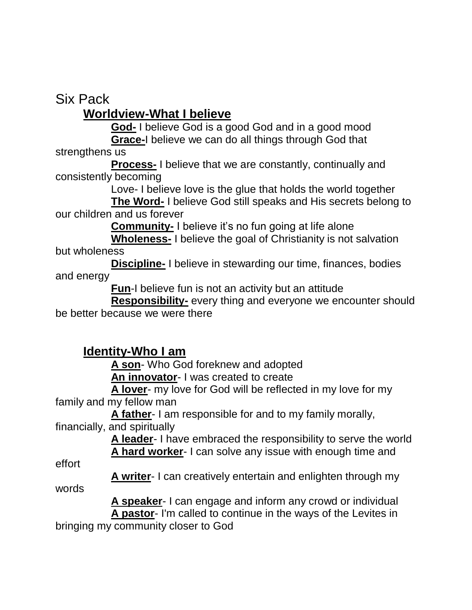Six Pack

#### **Worldview-What I believe**

**God-** I believe God is a good God and in a good mood **Grace-**I believe we can do all things through God that

strengthens us

**Process-** I believe that we are constantly, continually and consistently becoming

Love- I believe love is the glue that holds the world together

**The Word-** I believe God still speaks and His secrets belong to our children and us forever

**Community-** I believe it's no fun going at life alone

**Wholeness-** I believe the goal of Christianity is not salvation but wholeness

**Discipline-** I believe in stewarding our time, finances, bodies and energy

**Fun**-I believe fun is not an activity but an attitude

**Responsibility-** every thing and everyone we encounter should be better because we were there

#### **Identity-Who I am**

**A son**- Who God foreknew and adopted

**An innovator**- I was created to create

 **A lover**- my love for God will be reflected in my love for my family and my fellow man

 **A father**- I am responsible for and to my family morally, financially, and spiritually

 **A leader**- I have embraced the responsibility to serve the world **A hard worker**- I can solve any issue with enough time and

effort

**A writer**- I can creatively entertain and enlighten through my

words

 **A speaker**- I can engage and inform any crowd or individual **A pastor**- I'm called to continue in the ways of the Levites in

bringing my community closer to God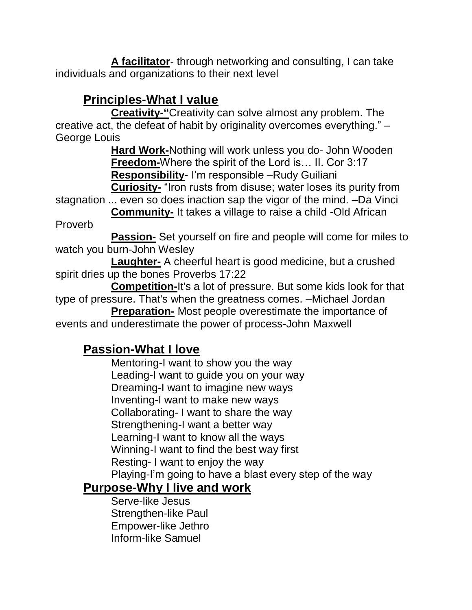**A facilitator**- through networking and consulting, I can take individuals and organizations to their next level

## **Principles-What I value**

**Creativity-"**Creativity can solve almost any problem. The creative act, the defeat of habit by originality overcomes everything." – George Louis

**Hard Work-**Nothing will work unless you do- John Wooden **Freedom-**Where the spirit of the Lord is… II. Cor 3:17 **Responsibility**- I'm responsible –Rudy Guiliani

**Curiosity-** "Iron rusts from disuse; water loses its purity from stagnation ... even so does inaction sap the vigor of the mind. –Da Vinci

**Community-** It takes a village to raise a child -Old African Proverb

**Passion-** Set yourself on fire and people will come for miles to watch you burn-John Wesley

**Laughter-** A cheerful heart is good medicine, but a crushed spirit dries up the bones Proverbs 17:22

**Competition-**It's a lot of pressure. But some kids look for that type of pressure. That's when the greatness comes. –Michael Jordan

**Preparation-** Most people overestimate the importance of events and underestimate the power of process-John Maxwell

## **Passion-What I love**

Mentoring-I want to show you the way Leading-I want to guide you on your way Dreaming-I want to imagine new ways Inventing-I want to make new ways Collaborating- I want to share the way Strengthening-I want a better way Learning-I want to know all the ways Winning-I want to find the best way first Resting- I want to enjoy the way Playing-I'm going to have a blast every step of the way

#### **Purpose-Why I live and work**

Serve-like Jesus Strengthen-like Paul Empower-like Jethro Inform-like Samuel